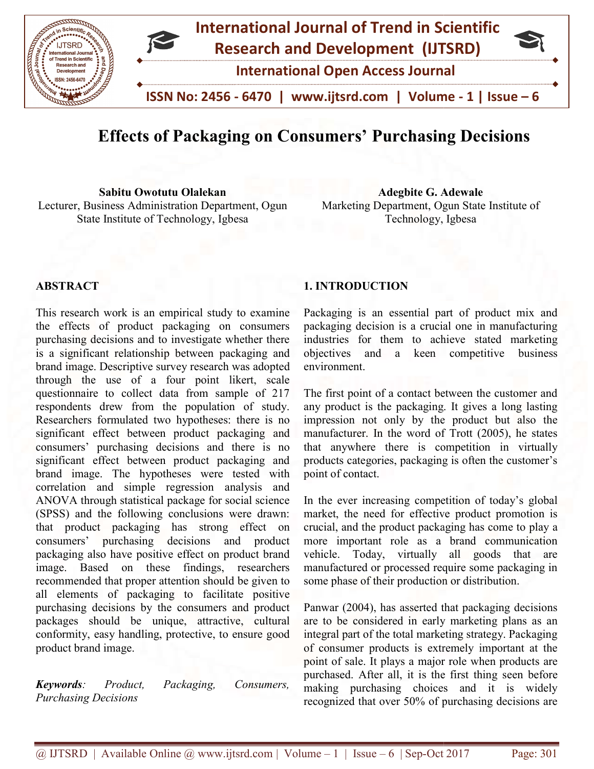

# Effects of Packaging on Consumers' Purchasing Decisions Decisions

Sabitu Owotutu Olalekan Lecturer, Business Administration Department, Ogun State Institute of Technology, Igbesa Sabitu Owotutu Olalekan<br>
Institute of Technology, Igbesa<br>
Institute of Technology, Igbesa<br>
Institute of Technology, Igbesa<br>
Institute of Technology, Igbesa

Marketing Department, Ogun State Institute of Technology, Igbesa

#### **ABSTRACT**

This research work is an empirical study to examine the effects of product packaging on consumers purchasing decisions and to investigate whether there is a significant relationship between packaging and brand image. Descriptive survey research was adopted through the use of a four point likert, scale questionnaire to collect data from sample of 217 respondents drew from the population of study. Researchers formulated two hypotheses: there is no significant effect between product packaging and consumers' purchasing decisions and there is no significant effect between product packaging and brand image. The hypotheses were tested with correlation and simple regression analysis and ANOVA through statistical package for social science (SPSS) and the following conclusions were drawn: that product packaging has strong effect on consumers' purchasing decisions and product packaging also have positive effect on product brand image. Based on these findings, researchers recommended that proper attention should be given to all elements of packaging to facilitate positive purchasing decisions by the consumers and product packages should be unique, attractive, cultural conformity, easy handling, protective, to ensure good product brand image. This research work is an empirical study to examine<br>the effects of product packaging on consumers<br>purchasing decisions and to investigate whether there<br>is a significant relationship between packaging and<br>brand image. Descr consumers' purchasing decisions and there<br>significant effect between product packaging<br>brand image. The hypotheses were tested<br>correlation and simple regression analysis<br>ANOVA through statistical package for social so<br>(SPS **1. INTRODUCTION**<br> **1. INTRODUCTION**<br> **1. INTRODUCTION**<br>
Work is an empirical study to examine Packaging is an essert product packaging on consumers packaging decision is is trelationship between packaging and inductives a

Keywords: Product, Packaging, Consumers, Purchasing Decisions

Packaging is an essential part of product mix and packaging decision is a crucial one in manufacturing industries for them to achieve stated marketing objectives and a keen compe environment. Next Competed Septem<br>
The University of the Microsoft<br>
September of product mix and<br>
The active of mix and<br>
The mix and<br>
The achieve stated marketing<br>
Reen competitive business

The first point of a contact between the customer and any product is the packaging. It gives a long lasting impression not only by the product but also the manufacturer. In the word of Trott (2005), he states that anywhere there is competition in virtually products categories, packaging is often the customer's point of contact. first point of a contact between the customer and<br>product is the packaging. It gives a long lasting<br>ession not only by the product but also the<br>ufacturer. In the word of Trott (2005), he states<br>anywhere there is competitio

In the ever increasing competition of today's global market, the need for effective product promotion is crucial, and the product packaging has come to more important role as a brand communication vehicle. Today, virtually all goods that are manufactured or processed require some packaging in some phase of their production or distribution.

Panwar (2004), has asserted that packaging decisions are to be considered in early marketing plans as an integral part of the total marketing strategy. Packaging of consumer products is extremely important at the point of sale. It plays a major role when products are purchased. After all, it is the first thing seen before making purchasing choices and it is widely recognized that over 50% of purchasing decisions are re important role as a brand communication<br>incle. Today, virtually all goods that are<br>nufactured or processed require some packaging in<br>ne phase of their production or distribution.<br>Nuvar (2004), has asserted that packagin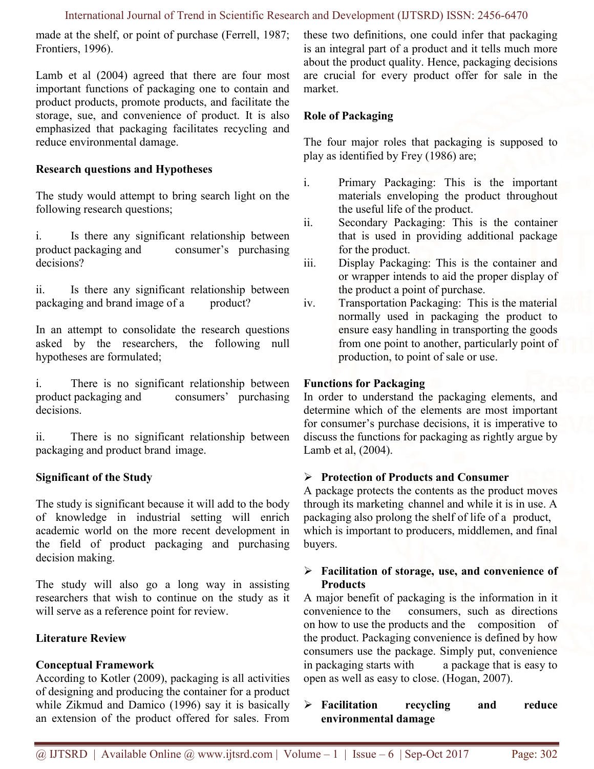made at the shelf, or point of purchase (Ferrell, 1987; Frontiers, 1996).

Lamb et al (2004) agreed that there are four most important functions of packaging one to contain and product products, promote products, and facilitate the storage, sue, and convenience of product. It is also emphasized that packaging facilitates recycling and reduce environmental damage.

## Research questions and Hypotheses

The study would attempt to bring search light on the following research questions;

i. Is there any significant relationship between product packaging and consumer's purchasing decisions?

ii. Is there any significant relationship between packaging and brand image of a product?

In an attempt to consolidate the research questions asked by the researchers, the following null hypotheses are formulated;

i. There is no significant relationship between product packaging and consumers' purchasing decisions.

ii. There is no significant relationship between packaging and product brand image.

## Significant of the Study

The study is significant because it will add to the body of knowledge in industrial setting will enrich academic world on the more recent development in the field of product packaging and purchasing decision making.

The study will also go a long way in assisting researchers that wish to continue on the study as it will serve as a reference point for review.

## Literature Review

## Conceptual Framework

According to Kotler (2009), packaging is all activities of designing and producing the container for a product while Zikmud and Damico (1996) say it is basically an extension of the product offered for sales. From these two definitions, one could infer that packaging is an integral part of a product and it tells much more about the product quality. Hence, packaging decisions are crucial for every product offer for sale in the market.

## Role of Packaging

The four major roles that packaging is supposed to play as identified by Frey (1986) are;

- i. Primary Packaging: This is the important materials enveloping the product throughout the useful life of the product.
- ii. Secondary Packaging: This is the container that is used in providing additional package for the product.
- iii. Display Packaging: This is the container and or wrapper intends to aid the proper display of the product a point of purchase.
- iv. Transportation Packaging: This is the material normally used in packaging the product to ensure easy handling in transporting the goods from one point to another, particularly point of production, to point of sale or use.

## Functions for Packaging

In order to understand the packaging elements, and determine which of the elements are most important for consumer's purchase decisions, it is imperative to discuss the functions for packaging as rightly argue by Lamb et al, (2004).

## $\triangleright$  Protection of Products and Consumer

A package protects the contents as the product moves through its marketing channel and while it is in use. A packaging also prolong the shelf of life of a product, which is important to producers, middlemen, and final buyers.

## $\triangleright$  Facilitation of storage, use, and convenience of **Products**

A major benefit of packaging is the information in it convenience to the consumers, such as directions on how to use the products and the composition of the product. Packaging convenience is defined by how consumers use the package. Simply put, convenience in packaging starts with a package that is easy to open as well as easy to close. (Hogan, 2007).

 Facilitation recycling and reduce environmental damage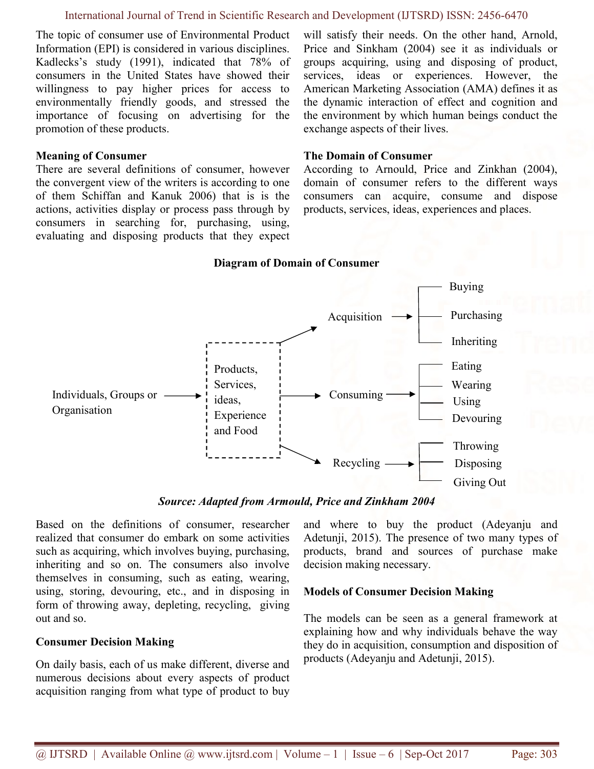#### International Journal of Trend in Scientific Research and Development (IJTSRD) ISSN: 2456-6470

The topic of consumer use of Environmental Product Information (EPI) is considered in various disciplines. Kadlecks's study (1991), indicated that 78% of consumers in the United States have showed their willingness to pay higher prices for access to environmentally friendly goods, and stressed the importance of focusing on advertising for the promotion of these products.

#### Meaning of Consumer

There are several definitions of consumer, however the convergent view of the writers is according to one of them Schiffan and Kanuk 2006) that is is the actions, activities display or process pass through by consumers in searching for, purchasing, using, evaluating and disposing products that they expect will satisfy their needs. On the other hand, Arnold, Price and Sinkham (2004) see it as individuals or groups acquiring, using and disposing of product, services, ideas or experiences. However, the American Marketing Association (AMA) defines it as the dynamic interaction of effect and cognition and the environment by which human beings conduct the exchange aspects of their lives.

#### The Domain of Consumer

According to Arnould, Price and Zinkhan (2004), domain of consumer refers to the different ways consumers can acquire, consume and dispose products, services, ideas, experiences and places.

#### Diagram of Domain of Consumer



Source: Adapted from Armould, Price and Zinkham 2004

Based on the definitions of consumer, researcher realized that consumer do embark on some activities such as acquiring, which involves buying, purchasing, inheriting and so on. The consumers also involve themselves in consuming, such as eating, wearing, using, storing, devouring, etc., and in disposing in form of throwing away, depleting, recycling, giving out and so.

#### Consumer Decision Making

On daily basis, each of us make different, diverse and numerous decisions about every aspects of product acquisition ranging from what type of product to buy and where to buy the product (Adeyanju and Adetunji, 2015). The presence of two many types of products, brand and sources of purchase make decision making necessary.

#### Models of Consumer Decision Making

The models can be seen as a general framework at explaining how and why individuals behave the way they do in acquisition, consumption and disposition of products (Adeyanju and Adetunji, 2015).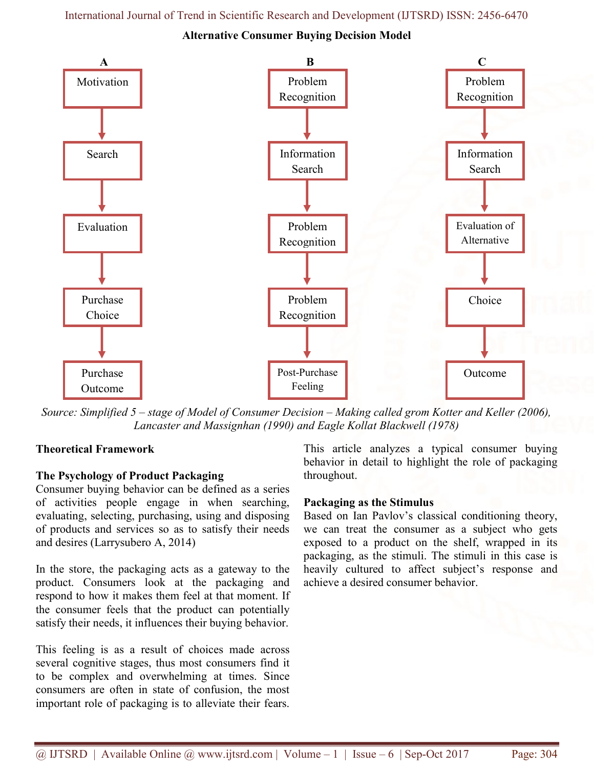Alternative Consumer Buying Decision Model



Source: Simplified 5 – stage of Model of Consumer Decision – Making called grom Kotter and Keller (2006), Lancaster and Massignhan (1990) and Eagle Kollat Blackwell (1978)

## Theoretical Framework

## The Psychology of Product Packaging

Consumer buying behavior can be defined as a series of activities people engage in when searching, evaluating, selecting, purchasing, using and disposing of products and services so as to satisfy their needs and desires (Larrysubero A, 2014)

In the store, the packaging acts as a gateway to the product. Consumers look at the packaging and respond to how it makes them feel at that moment. If the consumer feels that the product can potentially satisfy their needs, it influences their buying behavior.

This feeling is as a result of choices made across several cognitive stages, thus most consumers find it to be complex and overwhelming at times. Since consumers are often in state of confusion, the most important role of packaging is to alleviate their fears.

This article analyzes a typical consumer buying behavior in detail to highlight the role of packaging throughout.

## Packaging as the Stimulus

Based on Ian Pavlov's classical conditioning theory, we can treat the consumer as a subject who gets exposed to a product on the shelf, wrapped in its packaging, as the stimuli. The stimuli in this case is heavily cultured to affect subject's response and achieve a desired consumer behavior.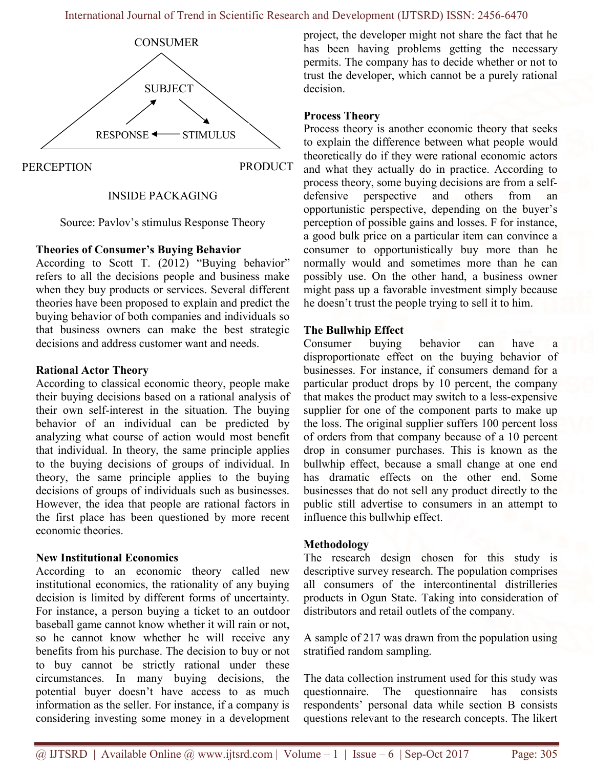

#### INSIDE PACKAGING

Source: Pavlov's stimulus Response Theory

#### Theories of Consumer's Buying Behavior

According to Scott T. (2012) "Buying behavior" refers to all the decisions people and business make when they buy products or services. Several different theories have been proposed to explain and predict the buying behavior of both companies and individuals so that business owners can make the best strategic decisions and address customer want and needs.

#### Rational Actor Theory

According to classical economic theory, people make their buying decisions based on a rational analysis of their own self-interest in the situation. The buying behavior of an individual can be predicted by analyzing what course of action would most benefit that individual. In theory, the same principle applies to the buying decisions of groups of individual. In theory, the same principle applies to the buying decisions of groups of individuals such as businesses. However, the idea that people are rational factors in the first place has been questioned by more recent economic theories.

## New Institutional Economics

According to an economic theory called new institutional economics, the rationality of any buying decision is limited by different forms of uncertainty. For instance, a person buying a ticket to an outdoor baseball game cannot know whether it will rain or not, so he cannot know whether he will receive any benefits from his purchase. The decision to buy or not to buy cannot be strictly rational under these circumstances. In many buying decisions, the potential buyer doesn't have access to as much information as the seller. For instance, if a company is considering investing some money in a development project, the developer might not share the fact that he has been having problems getting the necessary permits. The company has to decide whether or not to trust the developer, which cannot be a purely rational decision.

### Process Theory

Process theory is another economic theory that seeks to explain the difference between what people would theoretically do if they were rational economic actors and what they actually do in practice. According to process theory, some buying decisions are from a selfdefensive perspective and others from an opportunistic perspective, depending on the buyer's perception of possible gains and losses. F for instance, a good bulk price on a particular item can convince a consumer to opportunistically buy more than he normally would and sometimes more than he can possibly use. On the other hand, a business owner might pass up a favorable investment simply because he doesn't trust the people trying to sell it to him.

#### The Bullwhip Effect

Consumer buying behavior can have disproportionate effect on the buying behavior of businesses. For instance, if consumers demand for a particular product drops by 10 percent, the company that makes the product may switch to a less-expensive supplier for one of the component parts to make up the loss. The original supplier suffers 100 percent loss of orders from that company because of a 10 percent drop in consumer purchases. This is known as the bullwhip effect, because a small change at one end has dramatic effects on the other end. Some businesses that do not sell any product directly to the public still advertise to consumers in an attempt to influence this bullwhip effect.

## Methodology

The research design chosen for this study is descriptive survey research. The population comprises all consumers of the intercontinental distrilleries products in Ogun State. Taking into consideration of distributors and retail outlets of the company.

A sample of 217 was drawn from the population using stratified random sampling.

The data collection instrument used for this study was questionnaire. The questionnaire has consists respondents' personal data while section B consists questions relevant to the research concepts. The likert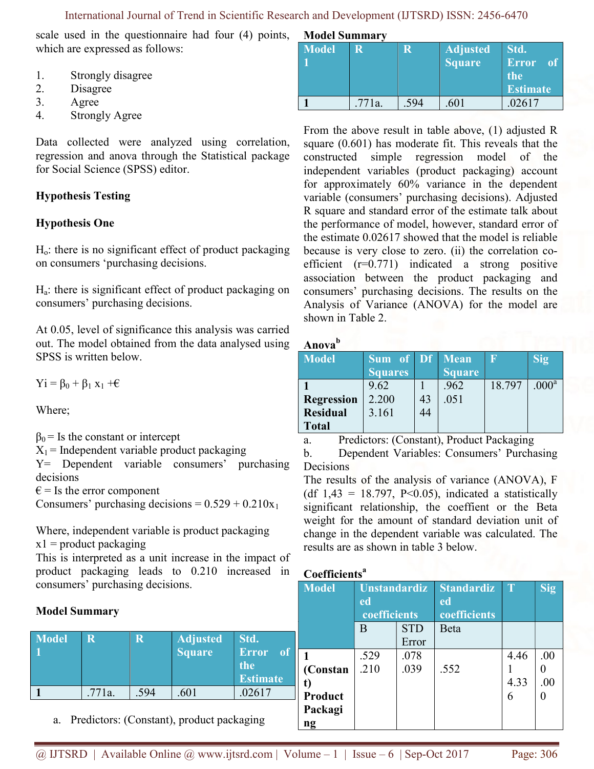scale used in the questionnaire had four (4) points, which are expressed as follows:

- 1. Strongly disagree
- 2. Disagree
- 3. Agree
- 4. Strongly Agree

Data collected were analyzed using correlation, regression and anova through the Statistical package for Social Science (SPSS) editor.

## Hypothesis Testing

## Hypothesis One

 $H<sub>o</sub>$ : there is no significant effect of product packaging on consumers 'purchasing decisions.

Ha: there is significant effect of product packaging on consumers' purchasing decisions.

At 0.05, level of significance this analysis was carried out. The model obtained from the data analysed using SPSS is written below.

 $yi = \beta_0 + \beta_1 x_1 + \epsilon$ 

Where;

 $\beta_0$  = Is the constant or intercept

 $X_1$  = Independent variable product packaging

Y= Dependent variable consumers' purchasing decisions

 $\epsilon$  = Is the error component

Consumers' purchasing decisions =  $0.529 + 0.210x_1$ 

Where, independent variable is product packaging  $x1$  = product packaging

R **R** Adjusted

1 .771a.  $1.594$  .601 .02617

a. Predictors: (Constant), product packaging

Square

This is interpreted as a unit increase in the impact of product packaging leads to 0.210 increased in consumers' purchasing decisions.

## Model Summary

Model 1

|  | <b>Model Summary</b> |  |
|--|----------------------|--|
|  |                      |  |

| <b>Model</b> | R      | R    | Adjusted<br>Square | $\vert$ Std.<br>Error<br><sup>of</sup><br>the<br><b>Estimate</b> |
|--------------|--------|------|--------------------|------------------------------------------------------------------|
|              | .771a. | .594 | .601               | .02617                                                           |

From the above result in table above, (1) adjusted R square (0.601) has moderate fit. This reveals that the constructed simple regression model of the independent variables (product packaging) account for approximately 60% variance in the dependent variable (consumers' purchasing decisions). Adjusted R square and standard error of the estimate talk about the performance of model, however, standard error of the estimate 0.02617 showed that the model is reliable because is very close to zero. (ii) the correlation coefficient (r=0.771) indicated a strong positive association between the product packaging and consumers' purchasing decisions. The results on the Analysis of Variance (ANOVA) for the model are shown in Table 2.

## Anova<sup>b</sup>

| <b>Model</b>      | <b>Sum</b> of Df Mean |    |               |        | $\overline{\text{Sig}}$ |
|-------------------|-----------------------|----|---------------|--------|-------------------------|
|                   | <b>Squares</b>        |    | <b>Square</b> |        |                         |
|                   | 9.62                  |    | .962          | 18.797 | .000 <sup>a</sup>       |
| <b>Regression</b> | 2.200                 | 43 | .051          |        |                         |
| <b>Residual</b>   | 3.161                 | 44 |               |        |                         |
| <b>Total</b>      |                       |    |               |        |                         |

a. Predictors: (Constant), Product Packaging

b. Dependent Variables: Consumers' Purchasing Decisions

The results of the analysis of variance (ANOVA), F (df  $1,43 = 18.797$ , P<0.05), indicated a statistically significant relationship, the coeffient or the Beta weight for the amount of standard deviation unit of change in the dependent variable was calculated. The results are as shown in table 3 below.

## Coefficients<sup>a</sup>

| <b>Model</b>                                | <b>Unstandardiz</b><br>ed<br>coefficients |                     | <b>Standardiz</b><br>ed<br>coefficients | ĀT                | Sig        |
|---------------------------------------------|-------------------------------------------|---------------------|-----------------------------------------|-------------------|------------|
|                                             | B                                         | <b>STD</b><br>Error | Beta                                    |                   |            |
| (Constan<br><b>Product</b><br>Packagi<br>ng | .529<br>.210                              | .078<br>.039        | .552                                    | 4.46<br>4.33<br>6 | .00<br>.00 |

Std.

the

Error of

Estimate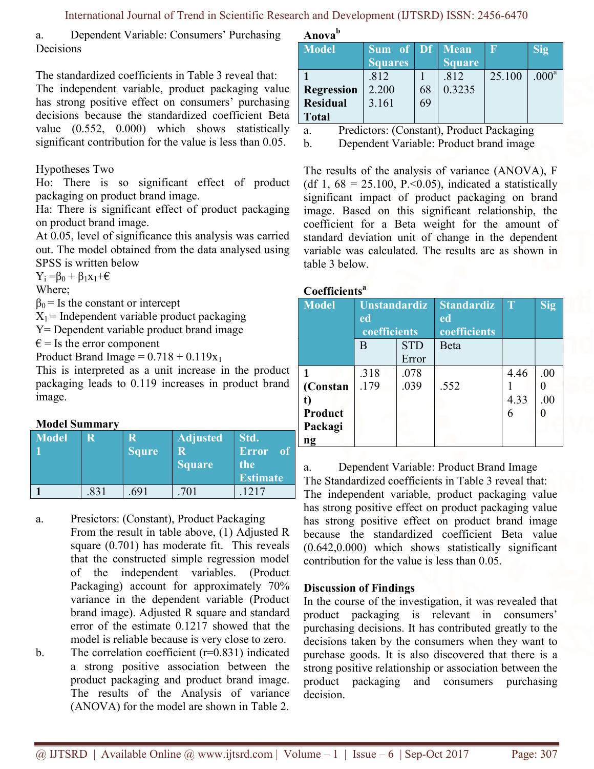a. Dependent Variable: Consumers' Purchasing Decisions

The standardized coefficients in Table 3 reveal that:

The independent variable, product packaging value has strong positive effect on consumers' purchasing decisions because the standardized coefficient Beta value (0.552, 0.000) which shows statistically significant contribution for the value is less than 0.05.

## Hypotheses Two

Ho: There is so significant effect of product packaging on product brand image.

Ha: There is significant effect of product packaging on product brand image.

At 0.05, level of significance this analysis was carried out. The model obtained from the data analysed using SPSS is written below

 $Y_i = \beta_0 + \beta_1 x_1 + \epsilon$ 

Where;

 $\beta_0$  = Is the constant or intercept

 $X_1$  = Independent variable product packaging

Y= Dependent variable product brand image

 $\epsilon$  = Is the error component

Product Brand Image =  $0.718 + 0.119x_1$ 

This is interpreted as a unit increase in the product packaging leads to 0.119 increases in product brand image.

## Model Summary

| <b>Model</b> |      | R<br><b>Squre</b> | Adjusted<br>R<br><b>Square</b> | Std.<br>Error<br>- of<br>the<br><b>Estimate</b> |
|--------------|------|-------------------|--------------------------------|-------------------------------------------------|
|              | .831 | .691              | .701                           | 1217                                            |

a. Presictors: (Constant), Product Packaging

From the result in table above, (1) Adjusted R square (0.701) has moderate fit. This reveals that the constructed simple regression model of the independent variables. (Product Packaging) account for approximately 70% variance in the dependent variable (Product brand image). Adjusted R square and standard error of the estimate 0.1217 showed that the model is reliable because is very close to zero.

b. The correlation coefficient  $(r=0.831)$  indicated a strong positive association between the product packaging and product brand image. The results of the Analysis of variance (ANOVA) for the model are shown in Table 2.

Anova<sup>b</sup>

| <b>Model</b>                                         | <b>Sum of Df Mean</b><br><b>Squares</b> |          | <b>Square</b>  |        | Sig/              |
|------------------------------------------------------|-----------------------------------------|----------|----------------|--------|-------------------|
| <b>Regression</b><br><b>Residual</b><br><b>Total</b> | .812<br>2.200<br>3.161                  | 68<br>69 | .812<br>0.3235 | 25.100 | .000 <sup>a</sup> |

a. Predictors: (Constant), Product Packaging

b. Dependent Variable: Product brand image

The results of the analysis of variance (ANOVA), F (df 1,  $68 = 25.100$ , P.<0.05), indicated a statistically significant impact of product packaging on brand image. Based on this significant relationship, the coefficient for a Beta weight for the amount of standard deviation unit of change in the dependent variable was calculated. The results are as shown in table 3 below.

#### Coefficients<sup>a</sup>

| Countents    |                           |       |                         |      |            |  |  |  |
|--------------|---------------------------|-------|-------------------------|------|------------|--|--|--|
| <b>Model</b> | <b>Unstandardiz</b><br>ed |       | <b>Standardiz</b><br>ed |      | <b>Sig</b> |  |  |  |
|              | coefficients              |       | coefficients            |      |            |  |  |  |
|              | <b>STD</b><br>B           |       | Beta                    |      |            |  |  |  |
|              |                           | Error |                         |      |            |  |  |  |
|              | .318                      | .078  |                         | 4.46 | .00        |  |  |  |
| (Constan     | .179                      | .039  | .552                    |      |            |  |  |  |
| t)           |                           |       |                         | 4.33 | .00        |  |  |  |
| Product      |                           |       |                         | 6    |            |  |  |  |
| Packagi      |                           |       |                         |      |            |  |  |  |
| ng           |                           |       |                         |      |            |  |  |  |

a. Dependent Variable: Product Brand Image The Standardized coefficients in Table 3 reveal that: The independent variable, product packaging value has strong positive effect on product packaging value has strong positive effect on product brand image because the standardized coefficient Beta value (0.642,0.000) which shows statistically significant contribution for the value is less than 0.05.

## Discussion of Findings

In the course of the investigation, it was revealed that product packaging is relevant in consumers' purchasing decisions. It has contributed greatly to the decisions taken by the consumers when they want to purchase goods. It is also discovered that there is a strong positive relationship or association between the product packaging and consumers purchasing decision.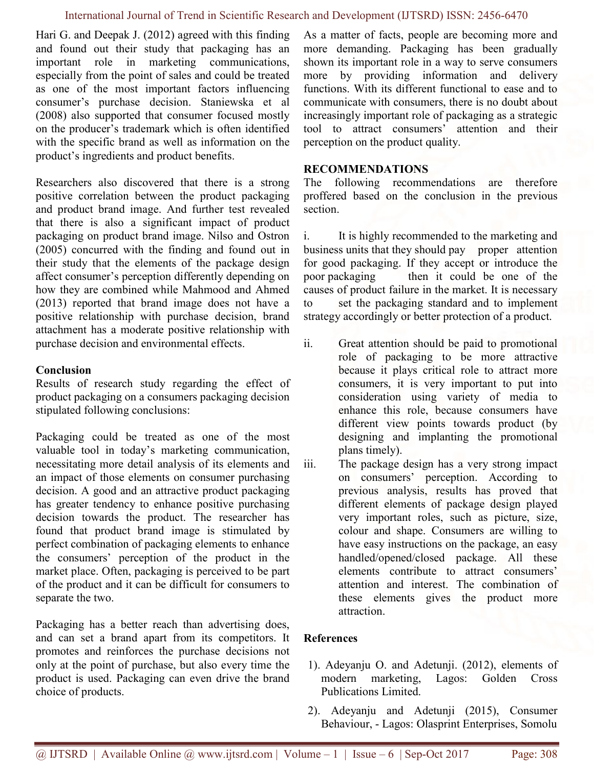#### International Journal of Trend in Scientific Research and Development (IJTSRD) ISSN: 2456-6470

Hari G. and Deepak J. (2012) agreed with this finding and found out their study that packaging has an important role in marketing communications, especially from the point of sales and could be treated as one of the most important factors influencing consumer's purchase decision. Staniewska et al (2008) also supported that consumer focused mostly on the producer's trademark which is often identified with the specific brand as well as information on the product's ingredients and product benefits.

Researchers also discovered that there is a strong positive correlation between the product packaging and product brand image. And further test revealed that there is also a significant impact of product packaging on product brand image. Nilso and Ostron (2005) concurred with the finding and found out in their study that the elements of the package design affect consumer's perception differently depending on how they are combined while Mahmood and Ahmed (2013) reported that brand image does not have a positive relationship with purchase decision, brand attachment has a moderate positive relationship with purchase decision and environmental effects.

## **Conclusion**

Results of research study regarding the effect of product packaging on a consumers packaging decision stipulated following conclusions:

Packaging could be treated as one of the most valuable tool in today's marketing communication, necessitating more detail analysis of its elements and an impact of those elements on consumer purchasing decision. A good and an attractive product packaging has greater tendency to enhance positive purchasing decision towards the product. The researcher has found that product brand image is stimulated by perfect combination of packaging elements to enhance the consumers' perception of the product in the market place. Often, packaging is perceived to be part of the product and it can be difficult for consumers to separate the two.

Packaging has a better reach than advertising does, and can set a brand apart from its competitors. It promotes and reinforces the purchase decisions not only at the point of purchase, but also every time the product is used. Packaging can even drive the brand choice of products.

As a matter of facts, people are becoming more and more demanding. Packaging has been gradually shown its important role in a way to serve consumers more by providing information and delivery functions. With its different functional to ease and to communicate with consumers, there is no doubt about increasingly important role of packaging as a strategic tool to attract consumers' attention and their perception on the product quality.

#### RECOMMENDATIONS

The following recommendations are therefore proffered based on the conclusion in the previous section.

i. It is highly recommended to the marketing and business units that they should pay proper attention for good packaging. If they accept or introduce the poor packaging then it could be one of the causes of product failure in the market. It is necessary to set the packaging standard and to implement strategy accordingly or better protection of a product.

- ii. Great attention should be paid to promotional role of packaging to be more attractive because it plays critical role to attract more consumers, it is very important to put into consideration using variety of media to enhance this role, because consumers have different view points towards product (by designing and implanting the promotional plans timely).
- iii. The package design has a very strong impact on consumers' perception. According to previous analysis, results has proved that different elements of package design played very important roles, such as picture, size, colour and shape. Consumers are willing to have easy instructions on the package, an easy handled/opened/closed package. All these elements contribute to attract consumers' attention and interest. The combination of these elements gives the product more attraction.

## References

- 1). Adeyanju O. and Adetunji. (2012), elements of modern marketing, Lagos: Golden Cross Publications Limited.
- 2). Adeyanju and Adetunji (2015), Consumer Behaviour, - Lagos: Olasprint Enterprises, Somolu